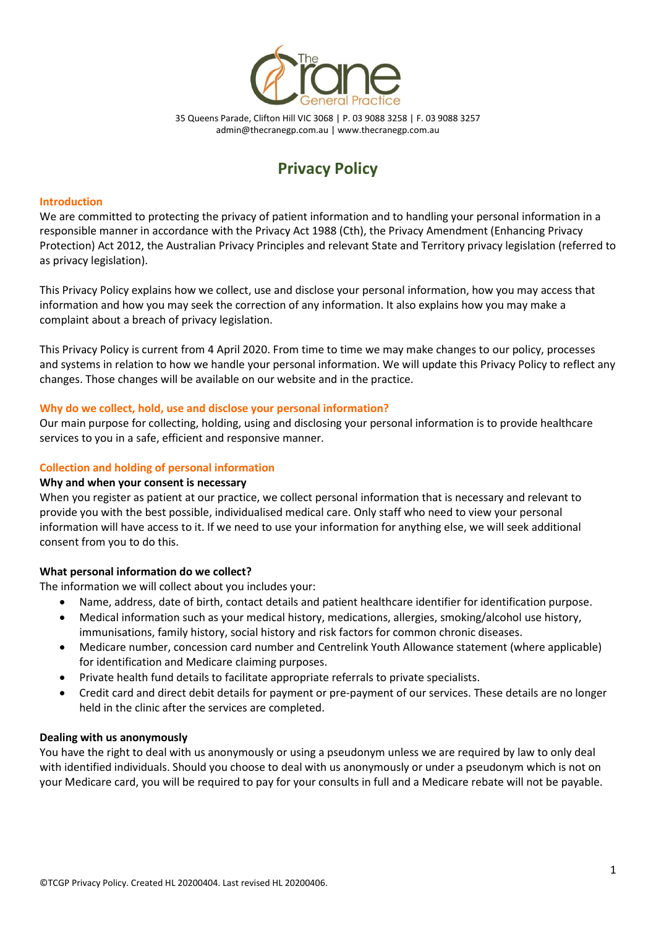

35 Queens Parade, Clifton Hill VIC 3068 | P. 03 9088 3258 | F. 03 9088 3257 [admin@thecranegp.com.au](mailto:admin@thecranegp.com.au) | www.thecranegp.com.au

# **Privacy Policy**

## **Introduction**

We are committed to protecting the privacy of patient information and to handling your personal information in a responsible manner in accordance with the Privacy Act 1988 (Cth), the Privacy Amendment (Enhancing Privacy Protection) Act 2012, the Australian Privacy Principles and relevant State and Territory privacy legislation (referred to as privacy legislation).

This Privacy Policy explains how we collect, use and disclose your personal information, how you may access that information and how you may seek the correction of any information. It also explains how you may make a complaint about a breach of privacy legislation.

This Privacy Policy is current from 4 April 2020. From time to time we may make changes to our policy, processes and systems in relation to how we handle your personal information. We will update this Privacy Policy to reflect any changes. Those changes will be available on our website and in the practice.

## **Why do we collect, hold, use and disclose your personal information?**

Our main purpose for collecting, holding, using and disclosing your personal information is to provide healthcare services to you in a safe, efficient and responsive manner.

# **Collection and holding of personal information**

## **Why and when your consent is necessary**

When you register as patient at our practice, we collect personal information that is necessary and relevant to provide you with the best possible, individualised medical care. Only staff who need to view your personal information will have access to it. If we need to use your information for anything else, we will seek additional consent from you to do this.

## **What personal information do we collect?**

The information we will collect about you includes your:

- Name, address, date of birth, contact details and patient healthcare identifier for identification purpose.
- Medical information such as your medical history, medications, allergies, smoking/alcohol use history, immunisations, family history, social history and risk factors for common chronic diseases.
- Medicare number, concession card number and Centrelink Youth Allowance statement (where applicable) for identification and Medicare claiming purposes.
- Private health fund details to facilitate appropriate referrals to private specialists.
- Credit card and direct debit details for payment or pre-payment of our services. These details are no longer held in the clinic after the services are completed.

## **Dealing with us anonymously**

You have the right to deal with us anonymously or using a pseudonym unless we are required by law to only deal with identified individuals. Should you choose to deal with us anonymously or under a pseudonym which is not on your Medicare card, you will be required to pay for your consults in full and a Medicare rebate will not be payable.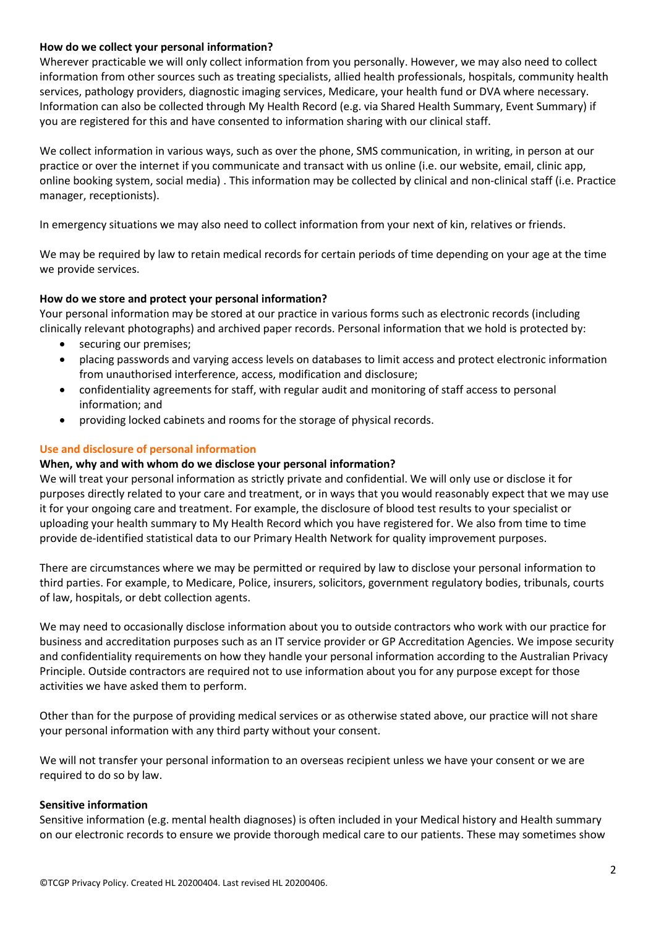## **How do we collect your personal information?**

Wherever practicable we will only collect information from you personally. However, we may also need to collect information from other sources such as treating specialists, allied health professionals, hospitals, community health services, pathology providers, diagnostic imaging services, Medicare, your health fund or DVA where necessary. Information can also be collected through My Health Record (e.g. via Shared Health Summary, Event Summary) if you are registered for this and have consented to information sharing with our clinical staff.

We collect information in various ways, such as over the phone, SMS communication, in writing, in person at our practice or over the internet if you communicate and transact with us online (i.e. our website, email, clinic app, online booking system, social media) . This information may be collected by clinical and non-clinical staff (i.e. Practice manager, receptionists).

In emergency situations we may also need to collect information from your next of kin, relatives or friends.

We may be required by law to retain medical records for certain periods of time depending on your age at the time we provide services.

# **How do we store and protect your personal information?**

Your personal information may be stored at our practice in various forms such as electronic records (including clinically relevant photographs) and archived paper records. Personal information that we hold is protected by:

- securing our premises;
- placing passwords and varying access levels on databases to limit access and protect electronic information from unauthorised interference, access, modification and disclosure;
- confidentiality agreements for staff, with regular audit and monitoring of staff access to personal information; and
- providing locked cabinets and rooms for the storage of physical records.

## **Use and disclosure of personal information**

## **When, why and with whom do we disclose your personal information?**

We will treat your personal information as strictly private and confidential. We will only use or disclose it for purposes directly related to your care and treatment, or in ways that you would reasonably expect that we may use it for your ongoing care and treatment. For example, the disclosure of blood test results to your specialist or uploading your health summary to My Health Record which you have registered for. We also from time to time provide de-identified statistical data to our Primary Health Network for quality improvement purposes.

There are circumstances where we may be permitted or required by law to disclose your personal information to third parties. For example, to Medicare, Police, insurers, solicitors, government regulatory bodies, tribunals, courts of law, hospitals, or debt collection agents.

We may need to occasionally disclose information about you to outside contractors who work with our practice for business and accreditation purposes such as an IT service provider or GP Accreditation Agencies. We impose security and confidentiality requirements on how they handle your personal information according to the Australian Privacy Principle. Outside contractors are required not to use information about you for any purpose except for those activities we have asked them to perform.

Other than for the purpose of providing medical services or as otherwise stated above, our practice will not share your personal information with any third party without your consent.

We will not transfer your personal information to an overseas recipient unless we have your consent or we are required to do so by law.

## **Sensitive information**

Sensitive information (e.g. mental health diagnoses) is often included in your Medical history and Health summary on our electronic records to ensure we provide thorough medical care to our patients. These may sometimes show